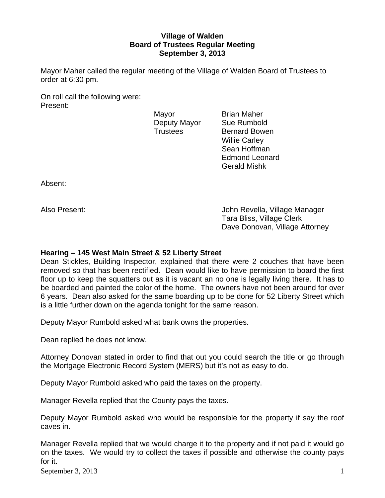# **Village of Walden Board of Trustees Regular Meeting September 3, 2013**

Mayor Maher called the regular meeting of the Village of Walden Board of Trustees to order at 6:30 pm.

On roll call the following were: Present:

Mayor **Brian Maher** Deputy Mayor Sue Rumbold

Trustees Bernard Bowen Willie Carley Sean Hoffman Edmond Leonard Gerald Mishk

Absent:

Also Present: John Revella, Village Manager Tara Bliss, Village Clerk Dave Donovan, Village Attorney

# **Hearing – 145 West Main Street & 52 Liberty Street**

Dean Stickles, Building Inspector, explained that there were 2 couches that have been removed so that has been rectified. Dean would like to have permission to board the first floor up to keep the squatters out as it is vacant an no one is legally living there. It has to be boarded and painted the color of the home. The owners have not been around for over 6 years. Dean also asked for the same boarding up to be done for 52 Liberty Street which is a little further down on the agenda tonight for the same reason.

Deputy Mayor Rumbold asked what bank owns the properties.

Dean replied he does not know.

Attorney Donovan stated in order to find that out you could search the title or go through the Mortgage Electronic Record System (MERS) but it's not as easy to do.

Deputy Mayor Rumbold asked who paid the taxes on the property.

Manager Revella replied that the County pays the taxes.

Deputy Mayor Rumbold asked who would be responsible for the property if say the roof caves in.

Manager Revella replied that we would charge it to the property and if not paid it would go on the taxes. We would try to collect the taxes if possible and otherwise the county pays for it.

September 3, 2013  $1$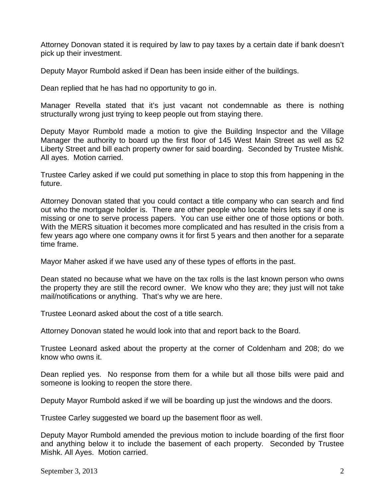Attorney Donovan stated it is required by law to pay taxes by a certain date if bank doesn't pick up their investment.

Deputy Mayor Rumbold asked if Dean has been inside either of the buildings.

Dean replied that he has had no opportunity to go in.

Manager Revella stated that it's just vacant not condemnable as there is nothing structurally wrong just trying to keep people out from staying there.

Deputy Mayor Rumbold made a motion to give the Building Inspector and the Village Manager the authority to board up the first floor of 145 West Main Street as well as 52 Liberty Street and bill each property owner for said boarding. Seconded by Trustee Mishk. All ayes. Motion carried.

Trustee Carley asked if we could put something in place to stop this from happening in the future.

Attorney Donovan stated that you could contact a title company who can search and find out who the mortgage holder is. There are other people who locate heirs lets say if one is missing or one to serve process papers. You can use either one of those options or both. With the MERS situation it becomes more complicated and has resulted in the crisis from a few years ago where one company owns it for first 5 years and then another for a separate time frame.

Mayor Maher asked if we have used any of these types of efforts in the past.

Dean stated no because what we have on the tax rolls is the last known person who owns the property they are still the record owner. We know who they are; they just will not take mail/notifications or anything. That's why we are here.

Trustee Leonard asked about the cost of a title search.

Attorney Donovan stated he would look into that and report back to the Board.

Trustee Leonard asked about the property at the corner of Coldenham and 208; do we know who owns it.

Dean replied yes. No response from them for a while but all those bills were paid and someone is looking to reopen the store there.

Deputy Mayor Rumbold asked if we will be boarding up just the windows and the doors.

Trustee Carley suggested we board up the basement floor as well.

Deputy Mayor Rumbold amended the previous motion to include boarding of the first floor and anything below it to include the basement of each property. Seconded by Trustee Mishk. All Ayes. Motion carried.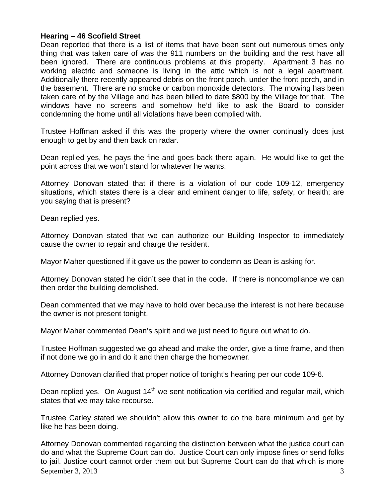### **Hearing – 46 Scofield Street**

Dean reported that there is a list of items that have been sent out numerous times only thing that was taken care of was the 911 numbers on the building and the rest have all been ignored. There are continuous problems at this property. Apartment 3 has no working electric and someone is living in the attic which is not a legal apartment. Additionally there recently appeared debris on the front porch, under the front porch, and in the basement. There are no smoke or carbon monoxide detectors. The mowing has been taken care of by the Village and has been billed to date \$800 by the Village for that. The windows have no screens and somehow he'd like to ask the Board to consider condemning the home until all violations have been complied with.

Trustee Hoffman asked if this was the property where the owner continually does just enough to get by and then back on radar.

Dean replied yes, he pays the fine and goes back there again. He would like to get the point across that we won't stand for whatever he wants.

Attorney Donovan stated that if there is a violation of our code 109-12, emergency situations, which states there is a clear and eminent danger to life, safety, or health; are you saying that is present?

Dean replied yes.

Attorney Donovan stated that we can authorize our Building Inspector to immediately cause the owner to repair and charge the resident.

Mayor Maher questioned if it gave us the power to condemn as Dean is asking for.

Attorney Donovan stated he didn't see that in the code. If there is noncompliance we can then order the building demolished.

Dean commented that we may have to hold over because the interest is not here because the owner is not present tonight.

Mayor Maher commented Dean's spirit and we just need to figure out what to do.

Trustee Hoffman suggested we go ahead and make the order, give a time frame, and then if not done we go in and do it and then charge the homeowner.

Attorney Donovan clarified that proper notice of tonight's hearing per our code 109-6.

Dean replied yes. On August  $14<sup>th</sup>$  we sent notification via certified and regular mail, which states that we may take recourse.

Trustee Carley stated we shouldn't allow this owner to do the bare minimum and get by like he has been doing.

September 3, 2013  $\overline{3}$ Attorney Donovan commented regarding the distinction between what the justice court can do and what the Supreme Court can do. Justice Court can only impose fines or send folks to jail. Justice court cannot order them out but Supreme Court can do that which is more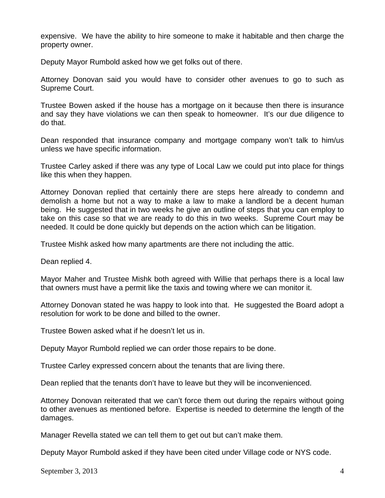expensive. We have the ability to hire someone to make it habitable and then charge the property owner.

Deputy Mayor Rumbold asked how we get folks out of there.

Attorney Donovan said you would have to consider other avenues to go to such as Supreme Court.

Trustee Bowen asked if the house has a mortgage on it because then there is insurance and say they have violations we can then speak to homeowner. It's our due diligence to do that.

Dean responded that insurance company and mortgage company won't talk to him/us unless we have specific information.

Trustee Carley asked if there was any type of Local Law we could put into place for things like this when they happen.

Attorney Donovan replied that certainly there are steps here already to condemn and demolish a home but not a way to make a law to make a landlord be a decent human being. He suggested that in two weeks he give an outline of steps that you can employ to take on this case so that we are ready to do this in two weeks. Supreme Court may be needed. It could be done quickly but depends on the action which can be litigation.

Trustee Mishk asked how many apartments are there not including the attic.

Dean replied 4.

Mayor Maher and Trustee Mishk both agreed with Willie that perhaps there is a local law that owners must have a permit like the taxis and towing where we can monitor it.

Attorney Donovan stated he was happy to look into that. He suggested the Board adopt a resolution for work to be done and billed to the owner.

Trustee Bowen asked what if he doesn't let us in.

Deputy Mayor Rumbold replied we can order those repairs to be done.

Trustee Carley expressed concern about the tenants that are living there.

Dean replied that the tenants don't have to leave but they will be inconvenienced.

Attorney Donovan reiterated that we can't force them out during the repairs without going to other avenues as mentioned before. Expertise is needed to determine the length of the damages.

Manager Revella stated we can tell them to get out but can't make them.

Deputy Mayor Rumbold asked if they have been cited under Village code or NYS code.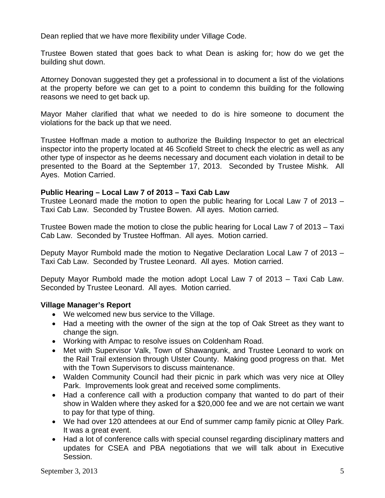Dean replied that we have more flexibility under Village Code.

Trustee Bowen stated that goes back to what Dean is asking for; how do we get the building shut down.

Attorney Donovan suggested they get a professional in to document a list of the violations at the property before we can get to a point to condemn this building for the following reasons we need to get back up.

Mayor Maher clarified that what we needed to do is hire someone to document the violations for the back up that we need.

Trustee Hoffman made a motion to authorize the Building Inspector to get an electrical inspector into the property located at 46 Scofield Street to check the electric as well as any other type of inspector as he deems necessary and document each violation in detail to be presented to the Board at the September 17, 2013. Seconded by Trustee Mishk. All Ayes. Motion Carried.

### **Public Hearing – Local Law 7 of 2013 – Taxi Cab Law**

Trustee Leonard made the motion to open the public hearing for Local Law 7 of 2013 – Taxi Cab Law. Seconded by Trustee Bowen. All ayes. Motion carried.

Trustee Bowen made the motion to close the public hearing for Local Law 7 of 2013 – Taxi Cab Law. Seconded by Trustee Hoffman. All ayes. Motion carried.

Deputy Mayor Rumbold made the motion to Negative Declaration Local Law 7 of 2013 – Taxi Cab Law. Seconded by Trustee Leonard. All ayes. Motion carried.

Deputy Mayor Rumbold made the motion adopt Local Law 7 of 2013 – Taxi Cab Law. Seconded by Trustee Leonard. All ayes. Motion carried.

# **Village Manager's Report**

- We welcomed new bus service to the Village.
- Had a meeting with the owner of the sign at the top of Oak Street as they want to change the sign.
- Working with Ampac to resolve issues on Coldenham Road.
- Met with Supervisor Valk, Town of Shawangunk, and Trustee Leonard to work on the Rail Trail extension through Ulster County. Making good progress on that. Met with the Town Supervisors to discuss maintenance.
- Walden Community Council had their picnic in park which was very nice at Olley Park. Improvements look great and received some compliments.
- Had a conference call with a production company that wanted to do part of their show in Walden where they asked for a \$20,000 fee and we are not certain we want to pay for that type of thing.
- We had over 120 attendees at our End of summer camp family picnic at Olley Park. It was a great event.
- Had a lot of conference calls with special counsel regarding disciplinary matters and updates for CSEA and PBA negotiations that we will talk about in Executive Session.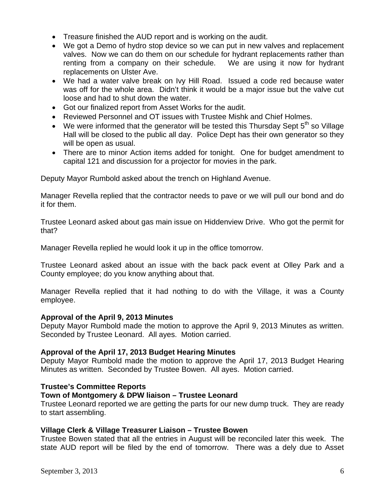- Treasure finished the AUD report and is working on the audit.
- We got a Demo of hydro stop device so we can put in new valves and replacement valves. Now we can do them on our schedule for hydrant replacements rather than renting from a company on their schedule. We are using it now for hydrant replacements on Ulster Ave.
- We had a water valve break on Ivy Hill Road. Issued a code red because water was off for the whole area. Didn't think it would be a major issue but the valve cut loose and had to shut down the water.
- Got our finalized report from Asset Works for the audit.
- Reviewed Personnel and OT issues with Trustee Mishk and Chief Holmes.
- We were informed that the generator will be tested this Thursday Sept  $5<sup>th</sup>$  so Village Hall will be closed to the public all day. Police Dept has their own generator so they will be open as usual.
- There are to minor Action items added for tonight. One for budget amendment to capital 121 and discussion for a projector for movies in the park.

Deputy Mayor Rumbold asked about the trench on Highland Avenue.

Manager Revella replied that the contractor needs to pave or we will pull our bond and do it for them.

Trustee Leonard asked about gas main issue on Hiddenview Drive. Who got the permit for that?

Manager Revella replied he would look it up in the office tomorrow.

Trustee Leonard asked about an issue with the back pack event at Olley Park and a County employee; do you know anything about that.

Manager Revella replied that it had nothing to do with the Village, it was a County employee.

#### **Approval of the April 9, 2013 Minutes**

Deputy Mayor Rumbold made the motion to approve the April 9, 2013 Minutes as written. Seconded by Trustee Leonard. All ayes. Motion carried.

# **Approval of the April 17, 2013 Budget Hearing Minutes**

Deputy Mayor Rumbold made the motion to approve the April 17, 2013 Budget Hearing Minutes as written. Seconded by Trustee Bowen. All ayes. Motion carried.

#### **Trustee's Committee Reports**

#### **Town of Montgomery & DPW liaison – Trustee Leonard**

Trustee Leonard reported we are getting the parts for our new dump truck. They are ready to start assembling.

#### **Village Clerk & Village Treasurer Liaison – Trustee Bowen**

Trustee Bowen stated that all the entries in August will be reconciled later this week. The state AUD report will be filed by the end of tomorrow. There was a dely due to Asset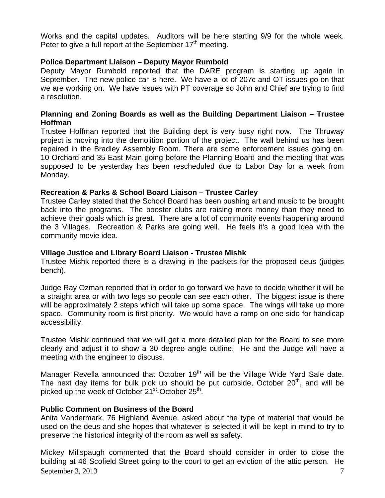Works and the capital updates. Auditors will be here starting 9/9 for the whole week. Peter to give a full report at the September  $17<sup>th</sup>$  meeting.

# **Police Department Liaison – Deputy Mayor Rumbold**

Deputy Mayor Rumbold reported that the DARE program is starting up again in September. The new police car is here. We have a lot of 207c and OT issues go on that we are working on. We have issues with PT coverage so John and Chief are trying to find a resolution.

# **Planning and Zoning Boards as well as the Building Department Liaison – Trustee Hoffman**

Trustee Hoffman reported that the Building dept is very busy right now. The Thruway project is moving into the demolition portion of the project. The wall behind us has been repaired in the Bradley Assembly Room. There are some enforcement issues going on. 10 Orchard and 35 East Main going before the Planning Board and the meeting that was supposed to be yesterday has been rescheduled due to Labor Day for a week from Monday.

# **Recreation & Parks & School Board Liaison – Trustee Carley**

Trustee Carley stated that the School Board has been pushing art and music to be brought back into the programs. The booster clubs are raising more money than they need to achieve their goals which is great. There are a lot of community events happening around the 3 Villages. Recreation & Parks are going well. He feels it's a good idea with the community movie idea.

# **Village Justice and Library Board Liaison - Trustee Mishk**

Trustee Mishk reported there is a drawing in the packets for the proposed deus (judges bench).

Judge Ray Ozman reported that in order to go forward we have to decide whether it will be a straight area or with two legs so people can see each other. The biggest issue is there will be approximately 2 steps which will take up some space. The wings will take up more space. Community room is first priority. We would have a ramp on one side for handicap accessibility.

Trustee Mishk continued that we will get a more detailed plan for the Board to see more clearly and adjust it to show a 30 degree angle outline. He and the Judge will have a meeting with the engineer to discuss.

Manager Revella announced that October  $19<sup>th</sup>$  will be the Village Wide Yard Sale date. The next day items for bulk pick up should be put curbside, October  $20<sup>th</sup>$ , and will be picked up the week of October 21<sup>st</sup>-October 25<sup>th</sup>.

# **Public Comment on Business of the Board**

Anita Vandermark, 76 Highland Avenue, asked about the type of material that would be used on the deus and she hopes that whatever is selected it will be kept in mind to try to preserve the historical integrity of the room as well as safety.

September 3, 2013  $\overline{7}$ Mickey Millspaugh commented that the Board should consider in order to close the building at 46 Scofield Street going to the court to get an eviction of the attic person. He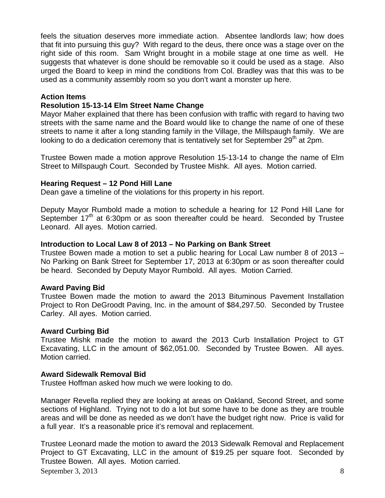feels the situation deserves more immediate action. Absentee landlords law; how does that fit into pursuing this guy? With regard to the deus, there once was a stage over on the right side of this room. Sam Wright brought in a mobile stage at one time as well. He suggests that whatever is done should be removable so it could be used as a stage. Also urged the Board to keep in mind the conditions from Col. Bradley was that this was to be used as a community assembly room so you don't want a monster up here.

### **Action Items**

### **Resolution 15-13-14 Elm Street Name Change**

Mayor Maher explained that there has been confusion with traffic with regard to having two streets with the same name and the Board would like to change the name of one of these streets to name it after a long standing family in the Village, the Millspaugh family. We are looking to do a dedication ceremony that is tentatively set for September  $29<sup>th</sup>$  at 2pm.

Trustee Bowen made a motion approve Resolution 15-13-14 to change the name of Elm Street to Millspaugh Court. Seconded by Trustee Mishk. All ayes. Motion carried.

#### **Hearing Request – 12 Pond Hill Lane**

Dean gave a timeline of the violations for this property in his report.

Deputy Mayor Rumbold made a motion to schedule a hearing for 12 Pond Hill Lane for September  $17<sup>th</sup>$  at 6:30pm or as soon thereafter could be heard. Seconded by Trustee Leonard. All ayes. Motion carried.

#### **Introduction to Local Law 8 of 2013 – No Parking on Bank Street**

Trustee Bowen made a motion to set a public hearing for Local Law number 8 of 2013 – No Parking on Bank Street for September 17, 2013 at 6:30pm or as soon thereafter could be heard. Seconded by Deputy Mayor Rumbold. All ayes. Motion Carried.

#### **Award Paving Bid**

Trustee Bowen made the motion to award the 2013 Bituminous Pavement Installation Project to Ron DeGroodt Paving, Inc. in the amount of \$84,297.50. Seconded by Trustee Carley. All ayes. Motion carried.

#### **Award Curbing Bid**

Trustee Mishk made the motion to award the 2013 Curb Installation Project to GT Excavating, LLC in the amount of \$62,051.00. Seconded by Trustee Bowen. All ayes. Motion carried.

#### **Award Sidewalk Removal Bid**

Trustee Hoffman asked how much we were looking to do.

Manager Revella replied they are looking at areas on Oakland, Second Street, and some sections of Highland. Trying not to do a lot but some have to be done as they are trouble areas and will be done as needed as we don't have the budget right now. Price is valid for a full year. It's a reasonable price it's removal and replacement.

September 3, 2013 8 Trustee Leonard made the motion to award the 2013 Sidewalk Removal and Replacement Project to GT Excavating, LLC in the amount of \$19.25 per square foot. Seconded by Trustee Bowen. All ayes. Motion carried.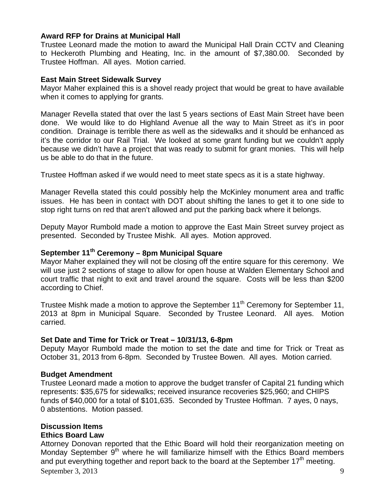### **Award RFP for Drains at Municipal Hall**

Trustee Leonard made the motion to award the Municipal Hall Drain CCTV and Cleaning to Heckeroth Plumbing and Heating, Inc. in the amount of \$7,380.00. Seconded by Trustee Hoffman. All ayes. Motion carried.

### **East Main Street Sidewalk Survey**

Mayor Maher explained this is a shovel ready project that would be great to have available when it comes to applying for grants.

Manager Revella stated that over the last 5 years sections of East Main Street have been done. We would like to do Highland Avenue all the way to Main Street as it's in poor condition. Drainage is terrible there as well as the sidewalks and it should be enhanced as it's the corridor to our Rail Trial. We looked at some grant funding but we couldn't apply because we didn't have a project that was ready to submit for grant monies. This will help us be able to do that in the future.

Trustee Hoffman asked if we would need to meet state specs as it is a state highway.

Manager Revella stated this could possibly help the McKinley monument area and traffic issues. He has been in contact with DOT about shifting the lanes to get it to one side to stop right turns on red that aren't allowed and put the parking back where it belongs.

Deputy Mayor Rumbold made a motion to approve the East Main Street survey project as presented. Seconded by Trustee Mishk. All ayes. Motion approved.

# September 11<sup>th</sup> Ceremony - 8pm Municipal Square

Mayor Maher explained they will not be closing off the entire square for this ceremony. We will use just 2 sections of stage to allow for open house at Walden Elementary School and court traffic that night to exit and travel around the square. Costs will be less than \$200 according to Chief.

Trustee Mishk made a motion to approve the September 11<sup>th</sup> Ceremony for September 11, 2013 at 8pm in Municipal Square. Seconded by Trustee Leonard.All ayes. Motion carried.

#### **Set Date and Time for Trick or Treat – 10/31/13, 6-8pm**

Deputy Mayor Rumbold made the motion to set the date and time for Trick or Treat as October 31, 2013 from 6-8pm. Seconded by Trustee Bowen. All ayes. Motion carried.

#### **Budget Amendment**

Trustee Leonard made a motion to approve the budget transfer of Capital 21 funding which represents: \$35,675 for sidewalks; received insurance recoveries \$25,960; and CHIPS funds of \$40,000 for a total of \$101,635. Seconded by Trustee Hoffman. 7 ayes, 0 nays, 0 abstentions. Motion passed.

# **Discussion Items Ethics Board Law**

September 3, 2013 9 Attorney Donovan reported that the Ethic Board will hold their reorganization meeting on Monday September  $9<sup>th</sup>$  where he will familiarize himself with the Ethics Board members and put everything together and report back to the board at the September  $17<sup>th</sup>$  meeting.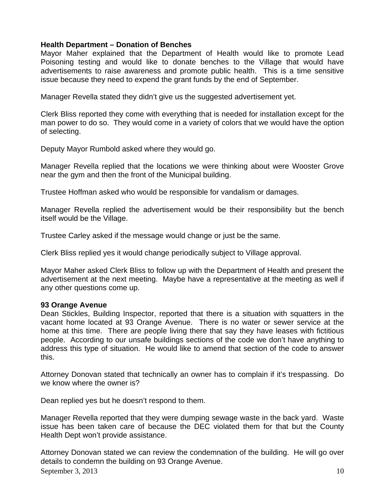# **Health Department – Donation of Benches**

Mayor Maher explained that the Department of Health would like to promote Lead Poisoning testing and would like to donate benches to the Village that would have advertisements to raise awareness and promote public health. This is a time sensitive issue because they need to expend the grant funds by the end of September.

Manager Revella stated they didn't give us the suggested advertisement yet.

Clerk Bliss reported they come with everything that is needed for installation except for the man power to do so. They would come in a variety of colors that we would have the option of selecting.

Deputy Mayor Rumbold asked where they would go.

Manager Revella replied that the locations we were thinking about were Wooster Grove near the gym and then the front of the Municipal building.

Trustee Hoffman asked who would be responsible for vandalism or damages.

Manager Revella replied the advertisement would be their responsibility but the bench itself would be the Village.

Trustee Carley asked if the message would change or just be the same.

Clerk Bliss replied yes it would change periodically subject to Village approval.

Mayor Maher asked Clerk Bliss to follow up with the Department of Health and present the advertisement at the next meeting. Maybe have a representative at the meeting as well if any other questions come up.

#### **93 Orange Avenue**

Dean Stickles, Building Inspector, reported that there is a situation with squatters in the vacant home located at 93 Orange Avenue. There is no water or sewer service at the home at this time. There are people living there that say they have leases with fictitious people. According to our unsafe buildings sections of the code we don't have anything to address this type of situation. He would like to amend that section of the code to answer this.

Attorney Donovan stated that technically an owner has to complain if it's trespassing. Do we know where the owner is?

Dean replied yes but he doesn't respond to them.

Manager Revella reported that they were dumping sewage waste in the back yard. Waste issue has been taken care of because the DEC violated them for that but the County Health Dept won't provide assistance.

September 3, 2013  $\hspace{1.5cm}$  10 Attorney Donovan stated we can review the condemnation of the building. He will go over details to condemn the building on 93 Orange Avenue.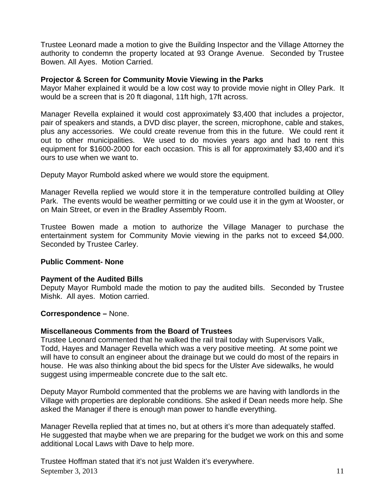Trustee Leonard made a motion to give the Building Inspector and the Village Attorney the authority to condemn the property located at 93 Orange Avenue. Seconded by Trustee Bowen. All Ayes. Motion Carried.

# **Projector & Screen for Community Movie Viewing in the Parks**

Mayor Maher explained it would be a low cost way to provide movie night in Olley Park. It would be a screen that is 20 ft diagonal, 11ft high, 17ft across.

Manager Revella explained it would cost approximately \$3,400 that includes a projector, pair of speakers and stands, a DVD disc player, the screen, microphone, cable and stakes, plus any accessories. We could create revenue from this in the future. We could rent it out to other municipalities. We used to do movies years ago and had to rent this equipment for \$1600-2000 for each occasion. This is all for approximately \$3,400 and it's ours to use when we want to.

Deputy Mayor Rumbold asked where we would store the equipment.

Manager Revella replied we would store it in the temperature controlled building at Olley Park. The events would be weather permitting or we could use it in the gym at Wooster, or on Main Street, or even in the Bradley Assembly Room.

Trustee Bowen made a motion to authorize the Village Manager to purchase the entertainment system for Community Movie viewing in the parks not to exceed \$4,000. Seconded by Trustee Carley.

# **Public Comment- None**

#### **Payment of the Audited Bills**

Deputy Mayor Rumbold made the motion to pay the audited bills. Seconded by Trustee Mishk. All ayes. Motion carried.

**Correspondence –** None.

#### **Miscellaneous Comments from the Board of Trustees**

Trustee Leonard commented that he walked the rail trail today with Supervisors Valk, Todd, Hayes and Manager Revella which was a very positive meeting. At some point we will have to consult an engineer about the drainage but we could do most of the repairs in house. He was also thinking about the bid specs for the Ulster Ave sidewalks, he would suggest using impermeable concrete due to the salt etc.

Deputy Mayor Rumbold commented that the problems we are having with landlords in the Village with properties are deplorable conditions. She asked if Dean needs more help. She asked the Manager if there is enough man power to handle everything.

Manager Revella replied that at times no, but at others it's more than adequately staffed. He suggested that maybe when we are preparing for the budget we work on this and some additional Local Laws with Dave to help more.

September 3, 2013  $11$ Trustee Hoffman stated that it's not just Walden it's everywhere.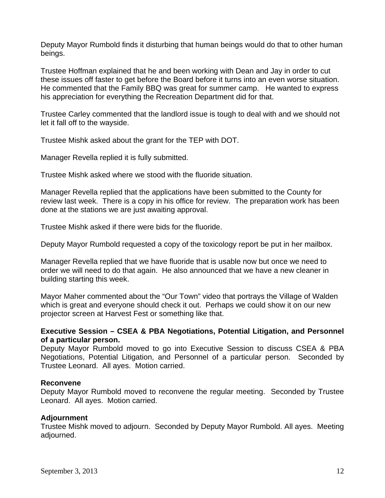Deputy Mayor Rumbold finds it disturbing that human beings would do that to other human beings.

Trustee Hoffman explained that he and been working with Dean and Jay in order to cut these issues off faster to get before the Board before it turns into an even worse situation. He commented that the Family BBQ was great for summer camp. He wanted to express his appreciation for everything the Recreation Department did for that.

Trustee Carley commented that the landlord issue is tough to deal with and we should not let it fall off to the wayside.

Trustee Mishk asked about the grant for the TEP with DOT.

Manager Revella replied it is fully submitted.

Trustee Mishk asked where we stood with the fluoride situation.

Manager Revella replied that the applications have been submitted to the County for review last week. There is a copy in his office for review. The preparation work has been done at the stations we are just awaiting approval.

Trustee Mishk asked if there were bids for the fluoride.

Deputy Mayor Rumbold requested a copy of the toxicology report be put in her mailbox.

Manager Revella replied that we have fluoride that is usable now but once we need to order we will need to do that again. He also announced that we have a new cleaner in building starting this week.

Mayor Maher commented about the "Our Town" video that portrays the Village of Walden which is great and everyone should check it out. Perhaps we could show it on our new projector screen at Harvest Fest or something like that.

# **Executive Session – CSEA & PBA Negotiations, Potential Litigation, and Personnel of a particular person.**

Deputy Mayor Rumbold moved to go into Executive Session to discuss CSEA & PBA Negotiations, Potential Litigation, and Personnel of a particular person. Seconded by Trustee Leonard. All ayes. Motion carried.

# **Reconvene**

Deputy Mayor Rumbold moved to reconvene the regular meeting. Seconded by Trustee Leonard. All ayes. Motion carried.

# **Adjournment**

Trustee Mishk moved to adjourn. Seconded by Deputy Mayor Rumbold. All ayes. Meeting adjourned.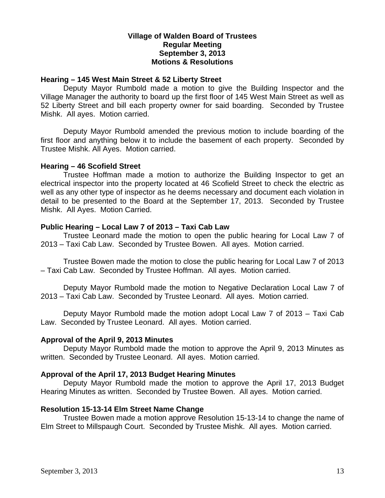### **Village of Walden Board of Trustees Regular Meeting September 3, 2013 Motions & Resolutions**

#### **Hearing – 145 West Main Street & 52 Liberty Street**

Deputy Mayor Rumbold made a motion to give the Building Inspector and the Village Manager the authority to board up the first floor of 145 West Main Street as well as 52 Liberty Street and bill each property owner for said boarding. Seconded by Trustee Mishk. All ayes. Motion carried.

Deputy Mayor Rumbold amended the previous motion to include boarding of the first floor and anything below it to include the basement of each property. Seconded by Trustee Mishk. All Ayes. Motion carried.

#### **Hearing – 46 Scofield Street**

Trustee Hoffman made a motion to authorize the Building Inspector to get an electrical inspector into the property located at 46 Scofield Street to check the electric as well as any other type of inspector as he deems necessary and document each violation in detail to be presented to the Board at the September 17, 2013. Seconded by Trustee Mishk. All Ayes. Motion Carried.

### **Public Hearing – Local Law 7 of 2013 – Taxi Cab Law**

Trustee Leonard made the motion to open the public hearing for Local Law 7 of 2013 – Taxi Cab Law. Seconded by Trustee Bowen. All ayes. Motion carried.

Trustee Bowen made the motion to close the public hearing for Local Law 7 of 2013 – Taxi Cab Law. Seconded by Trustee Hoffman. All ayes. Motion carried.

Deputy Mayor Rumbold made the motion to Negative Declaration Local Law 7 of 2013 – Taxi Cab Law. Seconded by Trustee Leonard. All ayes. Motion carried.

Deputy Mayor Rumbold made the motion adopt Local Law 7 of 2013 – Taxi Cab Law. Seconded by Trustee Leonard. All ayes. Motion carried.

# **Approval of the April 9, 2013 Minutes**

Deputy Mayor Rumbold made the motion to approve the April 9, 2013 Minutes as written. Seconded by Trustee Leonard. All ayes. Motion carried.

# **Approval of the April 17, 2013 Budget Hearing Minutes**

Deputy Mayor Rumbold made the motion to approve the April 17, 2013 Budget Hearing Minutes as written. Seconded by Trustee Bowen. All ayes. Motion carried.

#### **Resolution 15-13-14 Elm Street Name Change**

Trustee Bowen made a motion approve Resolution 15-13-14 to change the name of Elm Street to Millspaugh Court. Seconded by Trustee Mishk. All ayes. Motion carried.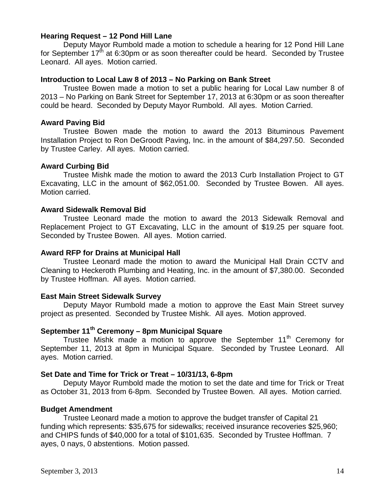#### **Hearing Request – 12 Pond Hill Lane**

Deputy Mayor Rumbold made a motion to schedule a hearing for 12 Pond Hill Lane for September  $17<sup>th</sup>$  at 6:30pm or as soon thereafter could be heard. Seconded by Trustee Leonard. All ayes. Motion carried.

#### **Introduction to Local Law 8 of 2013 – No Parking on Bank Street**

Trustee Bowen made a motion to set a public hearing for Local Law number 8 of 2013 – No Parking on Bank Street for September 17, 2013 at 6:30pm or as soon thereafter could be heard. Seconded by Deputy Mayor Rumbold. All ayes. Motion Carried.

#### **Award Paving Bid**

Trustee Bowen made the motion to award the 2013 Bituminous Pavement Installation Project to Ron DeGroodt Paving, Inc. in the amount of \$84,297.50. Seconded by Trustee Carley. All ayes. Motion carried.

### **Award Curbing Bid**

Trustee Mishk made the motion to award the 2013 Curb Installation Project to GT Excavating, LLC in the amount of \$62,051.00. Seconded by Trustee Bowen. All ayes. Motion carried.

### **Award Sidewalk Removal Bid**

Trustee Leonard made the motion to award the 2013 Sidewalk Removal and Replacement Project to GT Excavating, LLC in the amount of \$19.25 per square foot. Seconded by Trustee Bowen. All ayes. Motion carried.

#### **Award RFP for Drains at Municipal Hall**

Trustee Leonard made the motion to award the Municipal Hall Drain CCTV and Cleaning to Heckeroth Plumbing and Heating, Inc. in the amount of \$7,380.00. Seconded by Trustee Hoffman. All ayes. Motion carried.

# **East Main Street Sidewalk Survey**

Deputy Mayor Rumbold made a motion to approve the East Main Street survey project as presented. Seconded by Trustee Mishk. All ayes. Motion approved.

# **September 11th Ceremony – 8pm Municipal Square**

Trustee Mishk made a motion to approve the September 11<sup>th</sup> Ceremony for September 11, 2013 at 8pm in Municipal Square. Seconded by Trustee Leonard.All ayes. Motion carried.

#### **Set Date and Time for Trick or Treat – 10/31/13, 6-8pm**

Deputy Mayor Rumbold made the motion to set the date and time for Trick or Treat as October 31, 2013 from 6-8pm. Seconded by Trustee Bowen. All ayes. Motion carried.

# **Budget Amendment**

Trustee Leonard made a motion to approve the budget transfer of Capital 21 funding which represents: \$35,675 for sidewalks; received insurance recoveries \$25,960; and CHIPS funds of \$40,000 for a total of \$101,635. Seconded by Trustee Hoffman. 7 ayes, 0 nays, 0 abstentions. Motion passed.